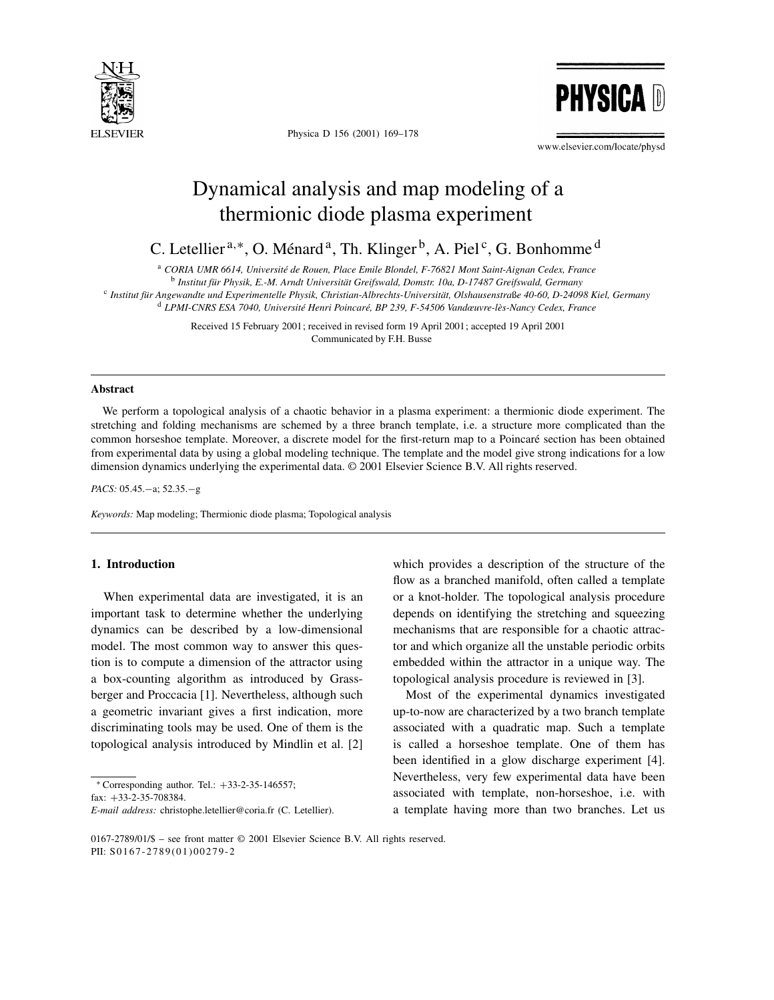

Physica D 156 (2001) 169–178



www.elsevier.com/locate/physd

# Dynamical analysis and map modeling of a thermionic diode plasma experiment

C. Letellier<sup>a,\*</sup>, O. Ménard<sup>a</sup>, Th. Klinger<sup>b</sup>, A. Piel<sup>c</sup>, G. Bonhomme<sup>d</sup>

<sup>a</sup> *CORIA UMR 6614, Université de Rouen, Place Emile Blondel, F-76821 Mont Saint-Aignan Cedex, France*

<sup>b</sup> *Institut für Physik, E.-M. Arndt Universität Greifswald, Domstr. 10a, D-17487 Greifswald, Germany*

<sup>c</sup> *Institut für Angewandte und Experimentelle Physik, Christian-Albrechts-Universität, Olshausenstra*ß*e 40-60, D-24098 Kiel, Germany* <sup>d</sup> *LPMI-CNRS ESA 7040, Université Henri Poincaré, BP 239, F-54506 Vandœuvre-lès-Nancy Cedex, France*

> Received 15 February 2001; received in revised form 19 April 2001; accepted 19 April 2001 Communicated by F.H. Busse

#### **Abstract**

We perform a topological analysis of a chaotic behavior in a plasma experiment: a thermionic diode experiment. The stretching and folding mechanisms are schemed by a three branch template, i.e. a structure more complicated than the common horseshoe template. Moreover, a discrete model for the first-return map to a Poincaré section has been obtained from experimental data by using a global modeling technique. The template and the model give strong indications for a low dimension dynamics underlying the experimental data. © 2001 Elsevier Science B.V. All rights reserved.

*PACS:* 05.45.−a; 52.35.−g

*Keywords:* Map modeling; Thermionic diode plasma; Topological analysis

# **1. Introduction**

When experimental data are investigated, it is an important task to determine whether the underlying dynamics can be described by a low-dimensional model. The most common way to answer this question is to compute a dimension of the attractor using a box-counting algorithm as introduced by Grassberger and Proccacia [1]. Nevertheless, although such a geometric invariant gives a first indication, more discriminating tools may be used. One of them is the topological analysis introduced by Mindlin et al. [2]

<sup>∗</sup> Corresponding author. Tel.: +33-2-35-146557;

fax: +33-2-35-708384.

which provides a description of the structure of the flow as a branched manifold, often called a template or a knot-holder. The topological analysis procedure depends on identifying the stretching and squeezing mechanisms that are responsible for a chaotic attractor and which organize all the unstable periodic orbits embedded within the attractor in a unique way. The topological analysis procedure is reviewed in [3].

Most of the experimental dynamics investigated up-to-now are characterized by a two branch template associated with a quadratic map. Such a template is called a horseshoe template. One of them has been identified in a glow discharge experiment [4]. Nevertheless, very few experimental data have been associated with template, non-horseshoe, i.e. with a template having more than two branches. Let us

*E-mail address:* christophe.letellier@coria.fr (C. Letellier).

<sup>0167-2789/01/\$ –</sup> see front matter © 2001 Elsevier Science B.V. All rights reserved. PII: S0167-2789(01)00279-2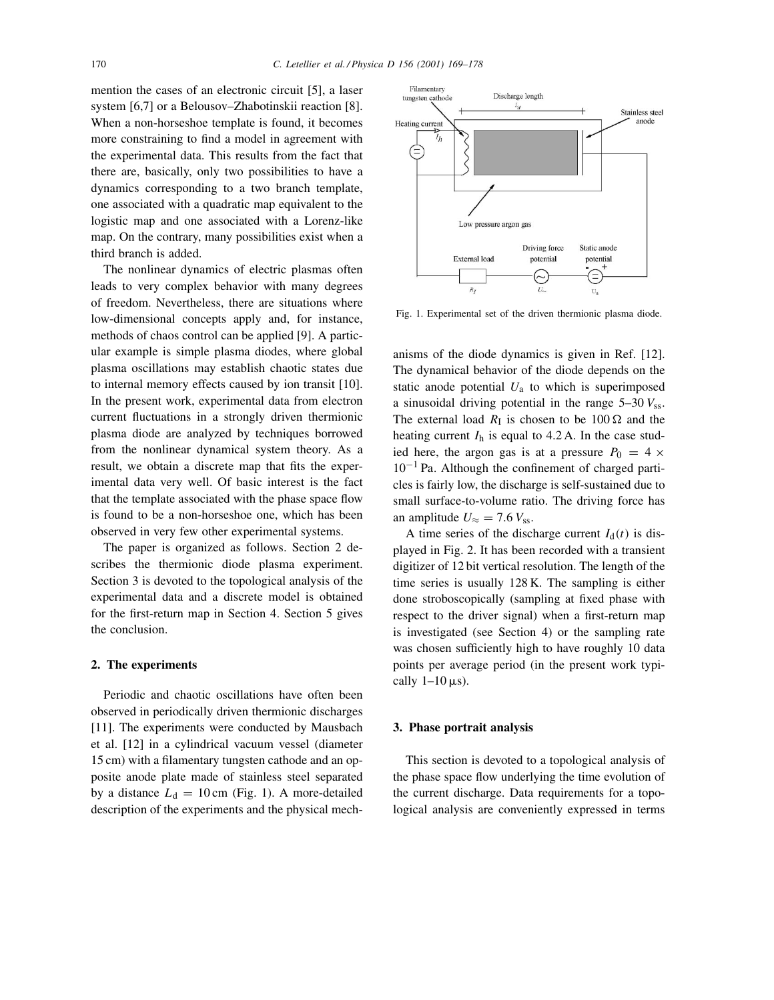mention the cases of an electronic circuit [5], a laser system [6,7] or a Belousov–Zhabotinskii reaction [8]. When a non-horseshoe template is found, it becomes more constraining to find a model in agreement with the experimental data. This results from the fact that there are, basically, only two possibilities to have a dynamics corresponding to a two branch template, one associated with a quadratic map equivalent to the logistic map and one associated with a Lorenz-like map. On the contrary, many possibilities exist when a third branch is added.

The nonlinear dynamics of electric plasmas often leads to very complex behavior with many degrees of freedom. Nevertheless, there are situations where low-dimensional concepts apply and, for instance, methods of chaos control can be applied [9]. A particular example is simple plasma diodes, where global plasma oscillations may establish chaotic states due to internal memory effects caused by ion transit [10]. In the present work, experimental data from electron current fluctuations in a strongly driven thermionic plasma diode are analyzed by techniques borrowed from the nonlinear dynamical system theory. As a result, we obtain a discrete map that fits the experimental data very well. Of basic interest is the fact that the template associated with the phase space flow is found to be a non-horseshoe one, which has been observed in very few other experimental systems.

The paper is organized as follows. Section 2 describes the thermionic diode plasma experiment. Section 3 is devoted to the topological analysis of the experimental data and a discrete model is obtained for the first-return map in Section 4. Section 5 gives the conclusion.

## **2. The experiments**

Periodic and chaotic oscillations have often been observed in periodically driven thermionic discharges [11]. The experiments were conducted by Mausbach et al. [12] in a cylindrical vacuum vessel (diameter 15 cm) with a filamentary tungsten cathode and an opposite anode plate made of stainless steel separated by a distance  $L_d = 10 \text{ cm}$  (Fig. 1). A more-detailed description of the experiments and the physical mech-



Fig. 1. Experimental set of the driven thermionic plasma diode.

anisms of the diode dynamics is given in Ref. [12]. The dynamical behavior of the diode depends on the static anode potential  $U_a$  to which is superimposed a sinusoidal driving potential in the range  $5-30 V_{ss}$ . The external load  $R_{\rm I}$  is chosen to be 100  $\Omega$  and the heating current  $I_h$  is equal to 4.2 A. In the case studied here, the argon gas is at a pressure  $P_0 = 4 \times$  $10^{-1}$  Pa. Although the confinement of charged particles is fairly low, the discharge is self-sustained due to small surface-to-volume ratio. The driving force has an amplitude  $U \approx$  = 7.6  $V_{ss}$ .

A time series of the discharge current  $I_d(t)$  is displayed in Fig. 2. It has been recorded with a transient digitizer of 12 bit vertical resolution. The length of the time series is usually 128 K. The sampling is either done stroboscopically (sampling at fixed phase with respect to the driver signal) when a first-return map is investigated (see Section 4) or the sampling rate was chosen sufficiently high to have roughly 10 data points per average period (in the present work typically  $1-10 \,\mu s$ ).

#### **3. Phase portrait analysis**

This section is devoted to a topological analysis of the phase space flow underlying the time evolution of the current discharge. Data requirements for a topological analysis are conveniently expressed in terms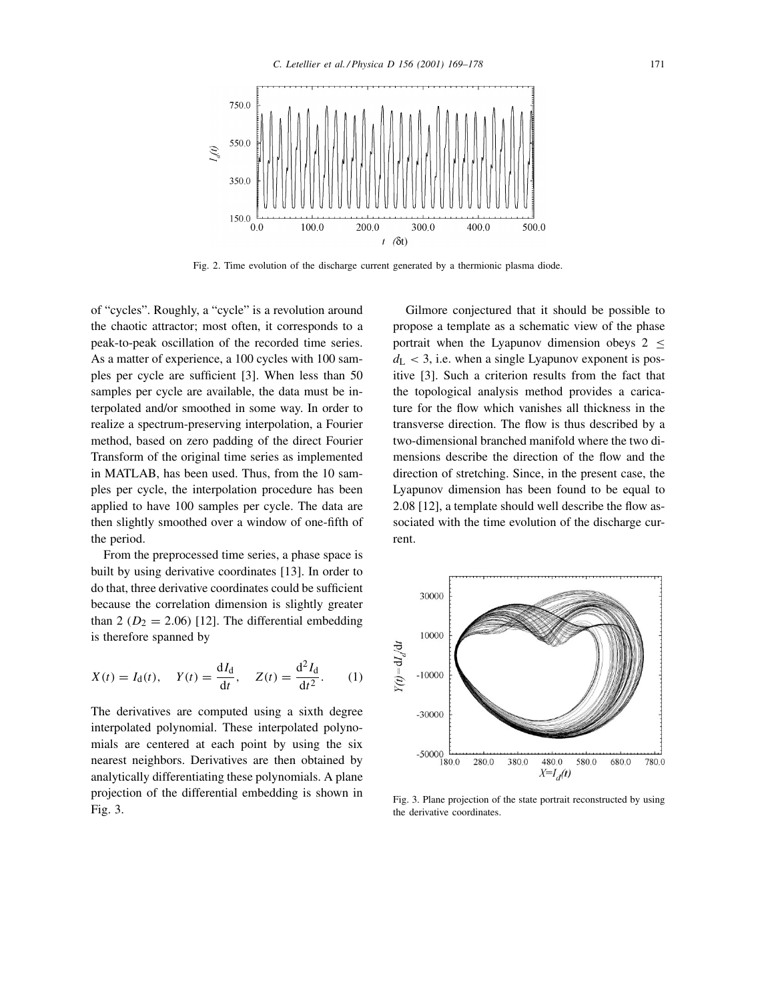

Fig. 2. Time evolution of the discharge current generated by a thermionic plasma diode.

of "cycles". Roughly, a "cycle" is a revolution around the chaotic attractor; most often, it corresponds to a peak-to-peak oscillation of the recorded time series. As a matter of experience, a 100 cycles with 100 samples per cycle are sufficient [3]. When less than 50 samples per cycle are available, the data must be interpolated and/or smoothed in some way. In order to realize a spectrum-preserving interpolation, a Fourier method, based on zero padding of the direct Fourier Transform of the original time series as implemented in MATLAB, has been used. Thus, from the 10 samples per cycle, the interpolation procedure has been applied to have 100 samples per cycle. The data are then slightly smoothed over a window of one-fifth of the period.

From the preprocessed time series, a phase space is built by using derivative coordinates [13]. In order to do that, three derivative coordinates could be sufficient because the correlation dimension is slightly greater than 2 ( $D_2 = 2.06$ ) [12]. The differential embedding is therefore spanned by

$$
X(t) = I_d(t), \quad Y(t) = \frac{dI_d}{dt}, \quad Z(t) = \frac{d^2I_d}{dt^2}.
$$
 (1)

The derivatives are computed using a sixth degree interpolated polynomial. These interpolated polynomials are centered at each point by using the six nearest neighbors. Derivatives are then obtained by analytically differentiating these polynomials. A plane projection of the differential embedding is shown in Fig. 3.

Gilmore conjectured that it should be possible to propose a template as a schematic view of the phase portrait when the Lyapunov dimension obeys 2 ≤  $d_{\rm L}$  < 3, i.e. when a single Lyapunov exponent is positive [3]. Such a criterion results from the fact that the topological analysis method provides a caricature for the flow which vanishes all thickness in the transverse direction. The flow is thus described by a two-dimensional branched manifold where the two dimensions describe the direction of the flow and the direction of stretching. Since, in the present case, the Lyapunov dimension has been found to be equal to 2.08 [12], a template should well describe the flow associated with the time evolution of the discharge current.



Fig. 3. Plane projection of the state portrait reconstructed by using the derivative coordinates.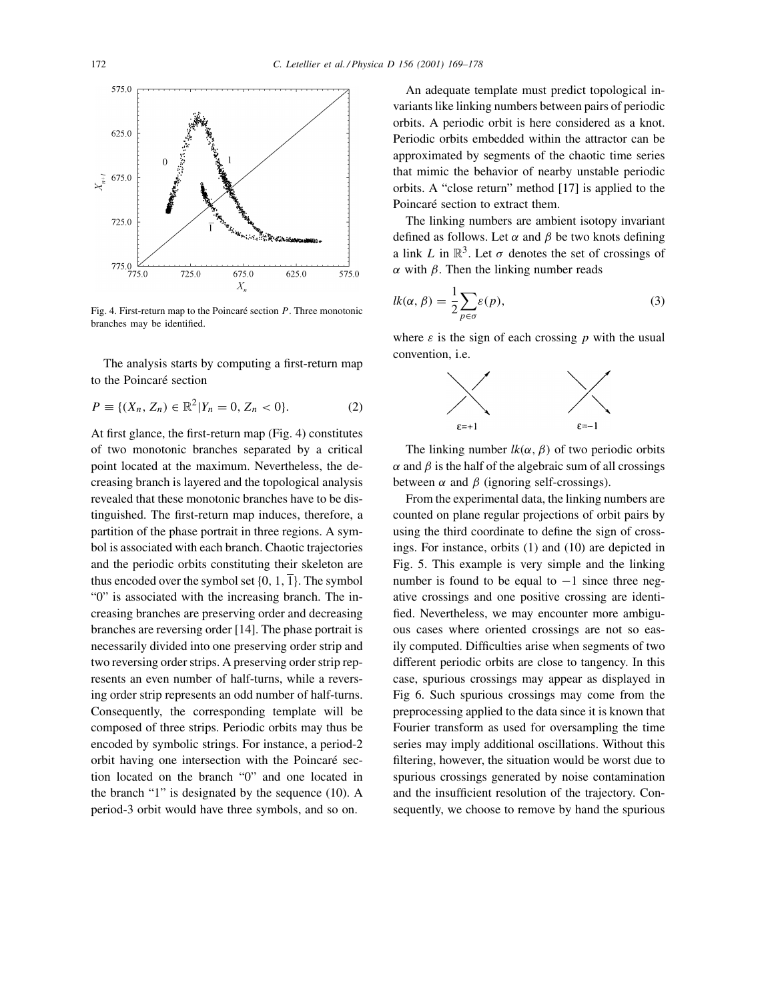

Fig. 4. First-return map to the Poincaré section  $P$ . Three monotonic branches may be identified.

The analysis starts by computing a first-return map to the Poincaré section

$$
P \equiv \{ (X_n, Z_n) \in \mathbb{R}^2 | Y_n = 0, Z_n < 0 \}. \tag{2}
$$

At first glance, the first-return map (Fig. 4) constitutes of two monotonic branches separated by a critical point located at the maximum. Nevertheless, the decreasing branch is layered and the topological analysis revealed that these monotonic branches have to be distinguished. The first-return map induces, therefore, a partition of the phase portrait in three regions. A symbol is associated with each branch. Chaotic trajectories and the periodic orbits constituting their skeleton are thus encoded over the symbol set  $\{0, 1, 1\}$ . The symbol "0" is associated with the increasing branch. The increasing branches are preserving order and decreasing branches are reversing order [14]. The phase portrait is necessarily divided into one preserving order strip and two reversing order strips. A preserving order strip represents an even number of half-turns, while a reversing order strip represents an odd number of half-turns. Consequently, the corresponding template will be composed of three strips. Periodic orbits may thus be encoded by symbolic strings. For instance, a period-2 orbit having one intersection with the Poincaré section located on the branch "0" and one located in the branch "1" is designated by the sequence (10). A period-3 orbit would have three symbols, and so on.

An adequate template must predict topological invariants like linking numbers between pairs of periodic orbits. A periodic orbit is here considered as a knot. Periodic orbits embedded within the attractor can be approximated by segments of the chaotic time series that mimic the behavior of nearby unstable periodic orbits. A "close return" method [17] is applied to the Poincaré section to extract them.

The linking numbers are ambient isotopy invariant defined as follows. Let  $\alpha$  and  $\beta$  be two knots defining a link L in  $\mathbb{R}^3$ . Let  $\sigma$  denotes the set of crossings of α with  $β$ . Then the linking number reads

$$
lk(\alpha, \beta) = \frac{1}{2} \sum_{p \in \sigma} \varepsilon(p),
$$
\n(3)

where  $\varepsilon$  is the sign of each crossing p with the usual convention, i.e.



The linking number  $lk(\alpha, \beta)$  of two periodic orbits  $\alpha$  and  $\beta$  is the half of the algebraic sum of all crossings between  $\alpha$  and  $\beta$  (ignoring self-crossings).

From the experimental data, the linking numbers are counted on plane regular projections of orbit pairs by using the third coordinate to define the sign of crossings. For instance, orbits (1) and (10) are depicted in Fig. 5. This example is very simple and the linking number is found to be equal to  $-1$  since three negative crossings and one positive crossing are identified. Nevertheless, we may encounter more ambiguous cases where oriented crossings are not so easily computed. Difficulties arise when segments of two different periodic orbits are close to tangency. In this case, spurious crossings may appear as displayed in Fig 6. Such spurious crossings may come from the preprocessing applied to the data since it is known that Fourier transform as used for oversampling the time series may imply additional oscillations. Without this filtering, however, the situation would be worst due to spurious crossings generated by noise contamination and the insufficient resolution of the trajectory. Consequently, we choose to remove by hand the spurious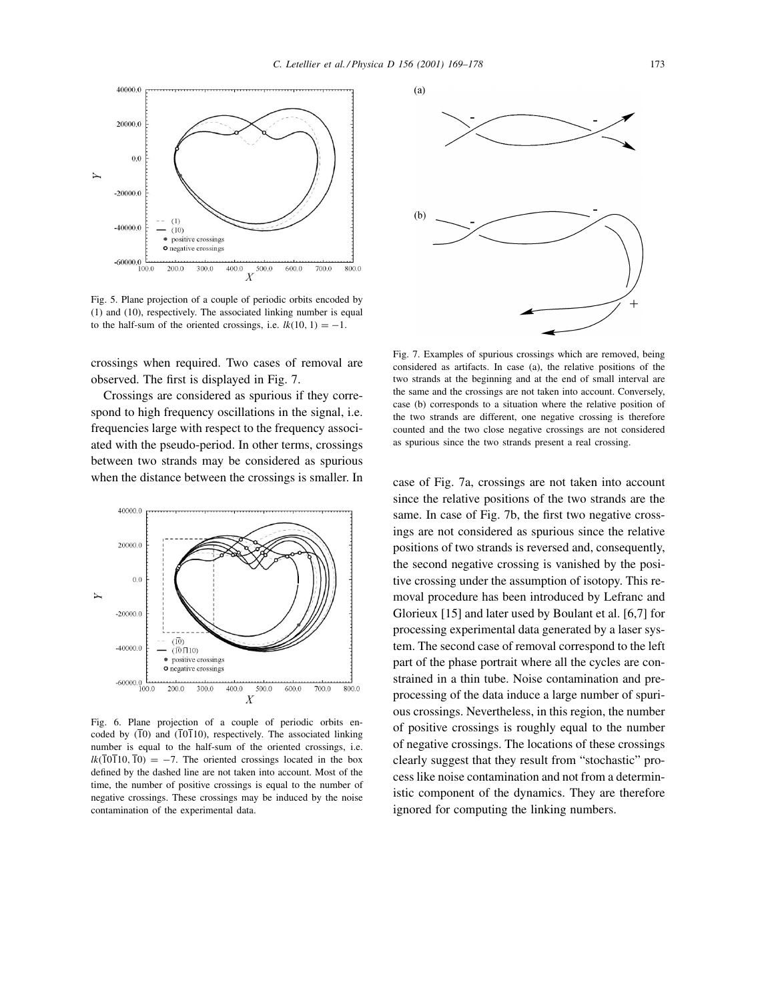

Fig. 5. Plane projection of a couple of periodic orbits encoded by (1) and (10), respectively. The associated linking number is equal to the half-sum of the oriented crossings, i.e.  $lk(10, 1) = -1$ .

crossings when required. Two cases of removal are observed. The first is displayed in Fig. 7.

Crossings are considered as spurious if they correspond to high frequency oscillations in the signal, i.e. frequencies large with respect to the frequency associated with the pseudo-period. In other terms, crossings between two strands may be considered as spurious when the distance between the crossings is smaller. In



Fig. 6. Plane projection of a couple of periodic orbits encoded by  $(10)$  and  $(10110)$ , respectively. The associated linking number is equal to the half-sum of the oriented crossings, i.e.  $lk(\overline{10110}, \overline{10}) = -7$ . The oriented crossings located in the box defined by the dashed line are not taken into account. Most of the time, the number of positive crossings is equal to the number of negative crossings. These crossings may be induced by the noise contamination of the experimental data.



Fig. 7. Examples of spurious crossings which are removed, being considered as artifacts. In case (a), the relative positions of the two strands at the beginning and at the end of small interval are the same and the crossings are not taken into account. Conversely, case (b) corresponds to a situation where the relative position of the two strands are different, one negative crossing is therefore counted and the two close negative crossings are not considered as spurious since the two strands present a real crossing.

case of Fig. 7a, crossings are not taken into account since the relative positions of the two strands are the same. In case of Fig. 7b, the first two negative crossings are not considered as spurious since the relative positions of two strands is reversed and, consequently, the second negative crossing is vanished by the positive crossing under the assumption of isotopy. This removal procedure has been introduced by Lefranc and Glorieux [15] and later used by Boulant et al. [6,7] for processing experimental data generated by a laser system. The second case of removal correspond to the left part of the phase portrait where all the cycles are constrained in a thin tube. Noise contamination and preprocessing of the data induce a large number of spurious crossings. Nevertheless, in this region, the number of positive crossings is roughly equal to the number of negative crossings. The locations of these crossings clearly suggest that they result from "stochastic" process like noise contamination and not from a deterministic component of the dynamics. They are therefore ignored for computing the linking numbers.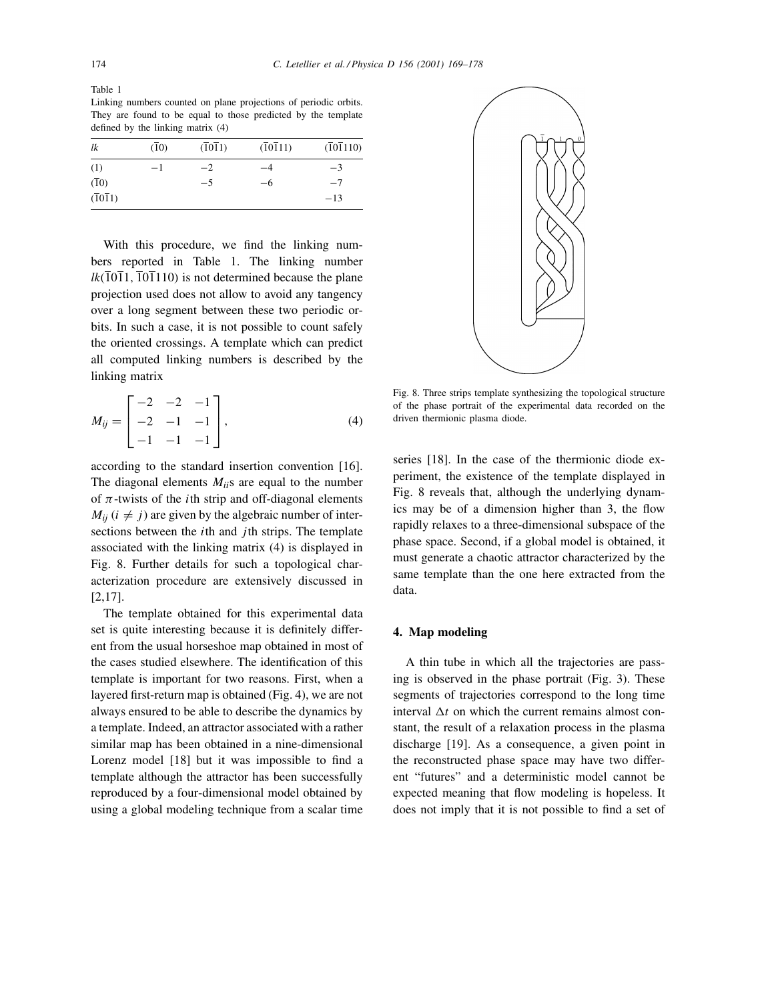Table 1 Linking numbers counted on plane projections of periodic orbits. They are found to be equal to those predicted by the template defined by the linking matrix (4)

| lk                             | (10) | (1011) | (10111) | (101110) |
|--------------------------------|------|--------|---------|----------|
| (1)                            | $-1$ | $-2$   | $-4$    | $-3$     |
| $(\overline{1}0)$              |      | $-5$   | -6      | $-7$     |
| $(\overline{1}0\overline{1}1)$ |      |        |         | $-13$    |

With this procedure, we find the linking numbers reported in Table 1. The linking number  $lk(\overline{1}0\overline{1}1,\overline{1}0\overline{1}110)$  is not determined because the plane projection used does not allow to avoid any tangency over a long segment between these two periodic orbits. In such a case, it is not possible to count safely the oriented crossings. A template which can predict all computed linking numbers is described by the linking matrix

$$
M_{ij} = \begin{bmatrix} -2 & -2 & -1 \\ -2 & -1 & -1 \\ -1 & -1 & -1 \end{bmatrix},
$$
 (4)

according to the standard insertion convention [16]. The diagonal elements M*ii*s are equal to the number of  $\pi$ -twists of the *i*th strip and off-diagonal elements  $M_{ii}$  ( $i \neq j$ ) are given by the algebraic number of intersections between the  $i$ th and  $j$ th strips. The template associated with the linking matrix (4) is displayed in Fig. 8. Further details for such a topological characterization procedure are extensively discussed in [2,17].

The template obtained for this experimental data set is quite interesting because it is definitely different from the usual horseshoe map obtained in most of the cases studied elsewhere. The identification of this template is important for two reasons. First, when a layered first-return map is obtained (Fig. 4), we are not always ensured to be able to describe the dynamics by a template. Indeed, an attractor associated with a rather similar map has been obtained in a nine-dimensional Lorenz model [18] but it was impossible to find a template although the attractor has been successfully reproduced by a four-dimensional model obtained by using a global modeling technique from a scalar time



Fig. 8. Three strips template synthesizing the topological structure of the phase portrait of the experimental data recorded on the driven thermionic plasma diode.

series [18]. In the case of the thermionic diode experiment, the existence of the template displayed in Fig. 8 reveals that, although the underlying dynamics may be of a dimension higher than 3, the flow rapidly relaxes to a three-dimensional subspace of the phase space. Second, if a global model is obtained, it must generate a chaotic attractor characterized by the same template than the one here extracted from the data.

## **4. Map modeling**

A thin tube in which all the trajectories are passing is observed in the phase portrait (Fig. 3). These segments of trajectories correspond to the long time interval  $\Delta t$  on which the current remains almost constant, the result of a relaxation process in the plasma discharge [19]. As a consequence, a given point in the reconstructed phase space may have two different "futures" and a deterministic model cannot be expected meaning that flow modeling is hopeless. It does not imply that it is not possible to find a set of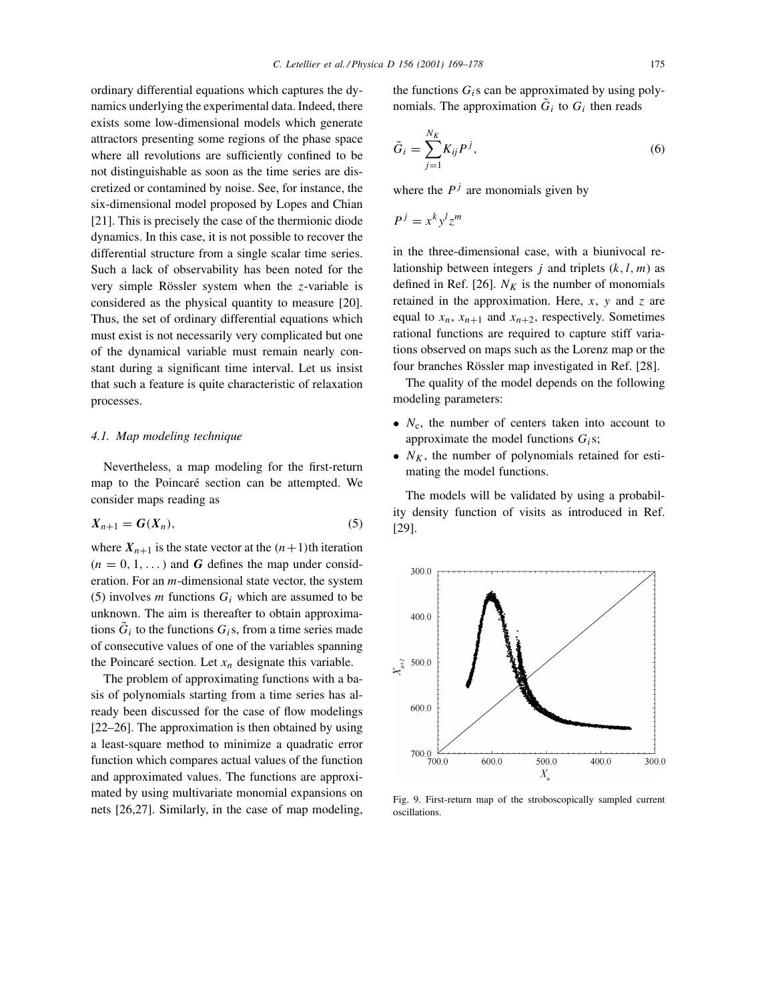ordinary differential equations which captures the dynamics underlying the experimental data. Indeed, there exists some low-dimensional models which generate attractors presenting some regions of the phase space where all revolutions are sufficiently confined to be not distinguishable as soon as the time series are discretized or contamined by noise. See, for instance, the six-dimensional model proposed by Lopes and Chian [21]. This is precisely the case of the thermionic diode dynamics. In this case, it is not possible to recover the differential structure from a single scalar time series. Such a lack of observability has been noted for the very simple Rössler system when the z-variable is considered as the physical quantity to measure [20]. Thus, the set of ordinary differential equations which must exist is not necessarily very complicated but one of the dynamical variable must remain nearly constant during a significant time interval. Let us insist that such a feature is quite characteristic of relaxation processes.

## *4.1. Map modeling technique*

Nevertheless, a map modeling for the first-return map to the Poincaré section can be attempted. We consider maps reading as

$$
X_{n+1} = G(X_n),\tag{5}
$$

where  $X_{n+1}$  is the state vector at the  $(n+1)$ th iteration  $(n = 0, 1, ...)$  and **G** defines the map under consideration. For an m-dimensional state vector, the system (5) involves *m* functions  $G_i$  which are assumed to be unknown. The aim is thereafter to obtain approximations  $G_i$  to the functions  $G_i$ s, from a time series made of consecutive values of one of the variables spanning the Poincaré section. Let  $x_n$  designate this variable.

The problem of approximating functions with a basis of polynomials starting from a time series has already been discussed for the case of flow modelings [22–26]. The approximation is then obtained by using a least-square method to minimize a quadratic error function which compares actual values of the function and approximated values. The functions are approximated by using multivariate monomial expansions on nets [26,27]. Similarly, in the case of map modeling,

the functions  $G_i$ s can be approximated by using polynomials. The approximation  $\tilde{G}_i$  to  $G_i$  then reads

$$
\tilde{G}_i = \sum_{j=1}^{N_K} K_{ij} P^j,\tag{6}
$$

where the  $P<sup>j</sup>$  are monomials given by

$$
P^j = x^k y^l z^m
$$

in the three-dimensional case, with a biunivocal relationship between integers j and triplets  $(k, l, m)$  as defined in Ref. [26].  $N_K$  is the number of monomials retained in the approximation. Here,  $x$ ,  $y$  and  $z$  are equal to  $x_n$ ,  $x_{n+1}$  and  $x_{n+2}$ , respectively. Sometimes rational functions are required to capture stiff variations observed on maps such as the Lorenz map or the four branches Rössler map investigated in Ref. [28].

The quality of the model depends on the following modeling parameters:

- $N_c$ , the number of centers taken into account to approximate the model functions  $G_i$ s;
- $N_K$ , the number of polynomials retained for estimating the model functions.

The models will be validated by using a probability density function of visits as introduced in Ref. [29].



Fig. 9. First-return map of the stroboscopically sampled current oscillations.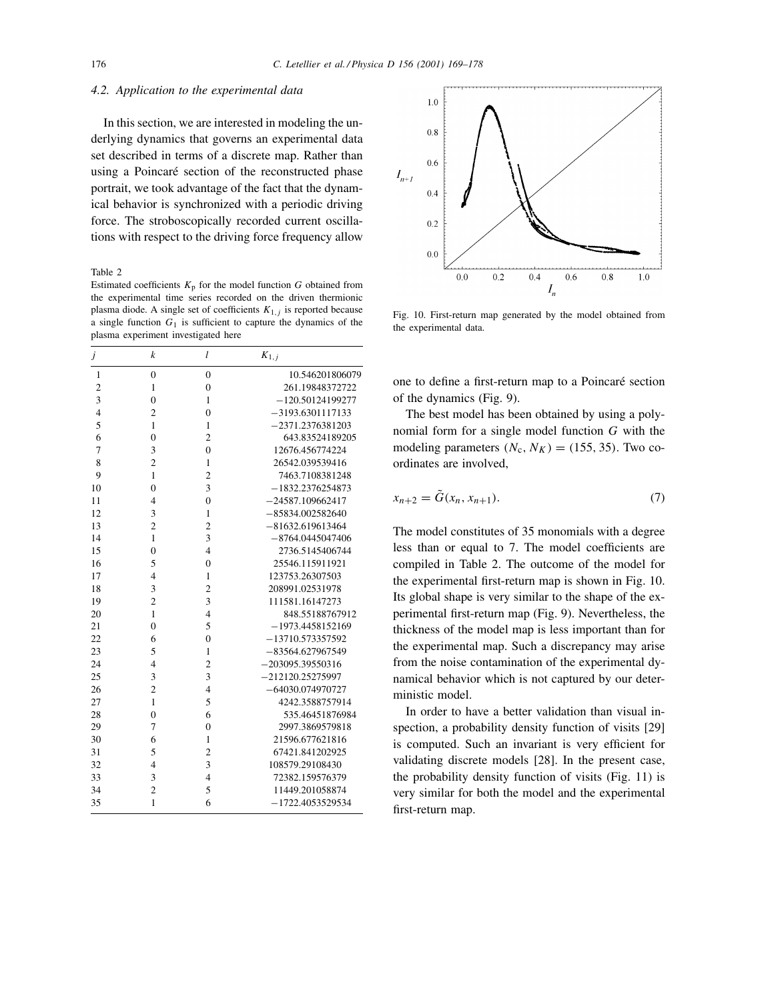## *4.2. Application to the experimental data*

In this section, we are interested in modeling the underlying dynamics that governs an experimental data set described in terms of a discrete map. Rather than using a Poincaré section of the reconstructed phase portrait, we took advantage of the fact that the dynamical behavior is synchronized with a periodic driving force. The stroboscopically recorded current oscillations with respect to the driving force frequency allow

Table 2

Estimated coefficients  $K_p$  for the model function G obtained from the experimental time series recorded on the driven thermionic plasma diode. A single set of coefficients  $K_{1,j}$  is reported because a single function  $G_1$  is sufficient to capture the dynamics of the plasma experiment investigated here

| $\dot{J}$      | $\boldsymbol{k}$ | $\iota$        | $K_{1,j}$          |
|----------------|------------------|----------------|--------------------|
| $\mathbf{1}$   | $\overline{0}$   | $\overline{0}$ | 10.546201806079    |
| $\overline{c}$ | $\mathbf{1}$     | $\overline{0}$ | 261.19848372722    |
| 3              | $\overline{0}$   | $\mathbf{1}$   | $-120.50124199277$ |
| $\overline{4}$ | $\overline{c}$   | $\overline{0}$ | $-3193.6301117133$ |
| 5              | $\mathbf{1}$     | 1              | $-2371.2376381203$ |
| 6              | 0                | $\overline{2}$ | 643.83524189205    |
| 7              | 3                | $\overline{0}$ | 12676.456774224    |
| 8              | $\overline{2}$   | $\mathbf{1}$   | 26542.039539416    |
| 9              | $\mathbf{1}$     | $\overline{2}$ | 7463.7108381248    |
| 10             | $\overline{0}$   | 3              | $-1832.2376254873$ |
| 11             | $\overline{4}$   | $\overline{0}$ | $-24587.109662417$ |
| 12             | 3                | $\mathbf{1}$   | $-85834.002582640$ |
| 13             | $\overline{2}$   | $\overline{2}$ | $-81632.619613464$ |
| 14             | $\mathbf{1}$     | 3              | $-8764.0445047406$ |
| 15             | $\overline{0}$   | $\overline{4}$ | 2736.5145406744    |
| 16             | 5                | $\overline{0}$ | 25546.115911921    |
| 17             | $\overline{4}$   | 1              | 123753.26307503    |
| 18             | 3                | $\overline{c}$ | 208991.02531978    |
| 19             | $\overline{c}$   | 3              | 111581.16147273    |
| 20             | $\mathbf{1}$     | $\overline{4}$ | 848.55188767912    |
| 21             | $\overline{0}$   | 5              | $-1973.4458152169$ |
| 22             | 6                | $\overline{0}$ | $-13710.573357592$ |
| 23             | 5                | $\mathbf{1}$   | -83564.627967549   |
| 24             | $\overline{4}$   | $\overline{c}$ | $-203095.39550316$ |
| 25             | 3                | 3              | $-212120.25275997$ |
| 26             | $\overline{c}$   | $\overline{4}$ | -64030.074970727   |
| 27             | $\mathbf{1}$     | 5              | 4242.3588757914    |
| 28             | $\overline{0}$   | 6              | 535.46451876984    |
| 29             | 7                | $\overline{0}$ | 2997.3869579818    |
| 30             | 6                | $\mathbf{1}$   | 21596.677621816    |
| 31             | 5                | $\overline{c}$ | 67421.841202925    |
| 32             | $\overline{4}$   | 3              | 108579.29108430    |
| 33             | 3                | $\overline{4}$ | 72382.159576379    |
| 34             | $\overline{c}$   | 5              | 11449.201058874    |
| 35             | 1                | 6              | $-1722.4053529534$ |



Fig. 10. First-return map generated by the model obtained from the experimental data.

one to define a first-return map to a Poincaré section of the dynamics (Fig. 9).

The best model has been obtained by using a polynomial form for a single model function G with the modeling parameters  $(N_c, N_K) = (155, 35)$ . Two coordinates are involved,

$$
x_{n+2} = \tilde{G}(x_n, x_{n+1}).
$$
\n(7)

The model constitutes of 35 monomials with a degree less than or equal to 7. The model coefficients are compiled in Table 2. The outcome of the model for the experimental first-return map is shown in Fig. 10. Its global shape is very similar to the shape of the experimental first-return map (Fig. 9). Nevertheless, the thickness of the model map is less important than for the experimental map. Such a discrepancy may arise from the noise contamination of the experimental dynamical behavior which is not captured by our deterministic model.

In order to have a better validation than visual inspection, a probability density function of visits [29] is computed. Such an invariant is very efficient for validating discrete models [28]. In the present case, the probability density function of visits (Fig. 11) is very similar for both the model and the experimental first-return map.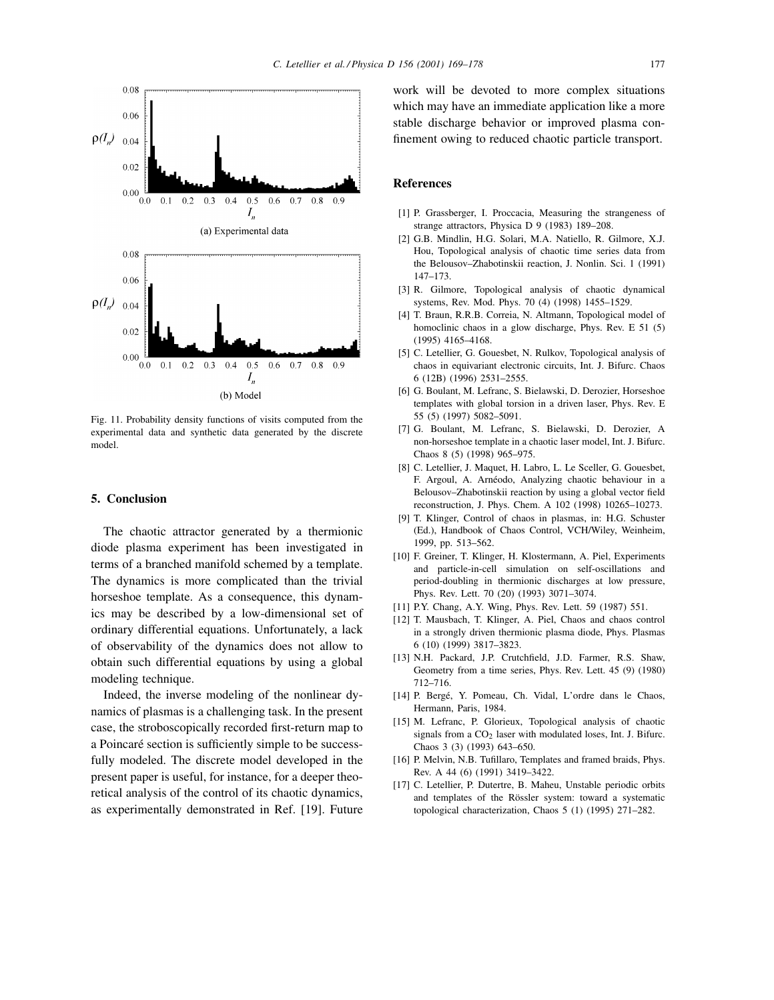

Fig. 11. Probability density functions of visits computed from the experimental data and synthetic data generated by the discrete model.

#### **5. Conclusion**

The chaotic attractor generated by a thermionic diode plasma experiment has been investigated in terms of a branched manifold schemed by a template. The dynamics is more complicated than the trivial horseshoe template. As a consequence, this dynamics may be described by a low-dimensional set of ordinary differential equations. Unfortunately, a lack of observability of the dynamics does not allow to obtain such differential equations by using a global modeling technique.

Indeed, the inverse modeling of the nonlinear dynamics of plasmas is a challenging task. In the present case, the stroboscopically recorded first-return map to a Poincaré section is sufficiently simple to be successfully modeled. The discrete model developed in the present paper is useful, for instance, for a deeper theoretical analysis of the control of its chaotic dynamics, as experimentally demonstrated in Ref. [19]. Future

work will be devoted to more complex situations which may have an immediate application like a more stable discharge behavior or improved plasma confinement owing to reduced chaotic particle transport.

#### **References**

- [1] P. Grassberger, I. Proccacia, Measuring the strangeness of strange attractors, Physica D 9 (1983) 189–208.
- [2] G.B. Mindlin, H.G. Solari, M.A. Natiello, R. Gilmore, X.J. Hou, Topological analysis of chaotic time series data from the Belousov–Zhabotinskii reaction, J. Nonlin. Sci. 1 (1991) 147–173.
- [3] R. Gilmore, Topological analysis of chaotic dynamical systems, Rev. Mod. Phys. 70 (4) (1998) 1455–1529.
- [4] T. Braun, R.R.B. Correia, N. Altmann, Topological model of homoclinic chaos in a glow discharge, Phys. Rev. E 51 (5) (1995) 4165–4168.
- [5] C. Letellier, G. Gouesbet, N. Rulkov, Topological analysis of chaos in equivariant electronic circuits, Int. J. Bifurc. Chaos 6 (12B) (1996) 2531–2555.
- [6] G. Boulant, M. Lefranc, S. Bielawski, D. Derozier, Horseshoe templates with global torsion in a driven laser, Phys. Rev. E 55 (5) (1997) 5082–5091.
- [7] G. Boulant, M. Lefranc, S. Bielawski, D. Derozier, A non-horseshoe template in a chaotic laser model, Int. J. Bifurc. Chaos 8 (5) (1998) 965–975.
- [8] C. Letellier, J. Maquet, H. Labro, L. Le Sceller, G. Gouesbet, F. Argoul, A. Arnéodo, Analyzing chaotic behaviour in a Belousov–Zhabotinskii reaction by using a global vector field reconstruction, J. Phys. Chem. A 102 (1998) 10265–10273.
- [9] T. Klinger, Control of chaos in plasmas, in: H.G. Schuster (Ed.), Handbook of Chaos Control, VCH/Wiley, Weinheim, 1999, pp. 513–562.
- [10] F. Greiner, T. Klinger, H. Klostermann, A. Piel, Experiments and particle-in-cell simulation on self-oscillations and period-doubling in thermionic discharges at low pressure, Phys. Rev. Lett. 70 (20) (1993) 3071–3074.
- [11] P.Y. Chang, A.Y. Wing, Phys. Rev. Lett. 59 (1987) 551.
- [12] T. Mausbach, T. Klinger, A. Piel, Chaos and chaos control in a strongly driven thermionic plasma diode, Phys. Plasmas 6 (10) (1999) 3817–3823.
- [13] N.H. Packard, J.P. Crutchfield, J.D. Farmer, R.S. Shaw, Geometry from a time series, Phys. Rev. Lett. 45 (9) (1980) 712–716.
- [14] P. Bergé, Y. Pomeau, Ch. Vidal, L'ordre dans le Chaos, Hermann, Paris, 1984.
- [15] M. Lefranc, P. Glorieux, Topological analysis of chaotic signals from a  $CO<sub>2</sub>$  laser with modulated loses, Int. J. Bifurc. Chaos 3 (3) (1993) 643–650.
- [16] P. Melvin, N.B. Tufillaro, Templates and framed braids, Phys. Rev. A 44 (6) (1991) 3419–3422.
- [17] C. Letellier, P. Dutertre, B. Maheu, Unstable periodic orbits and templates of the Rössler system: toward a systematic topological characterization, Chaos 5 (1) (1995) 271–282.